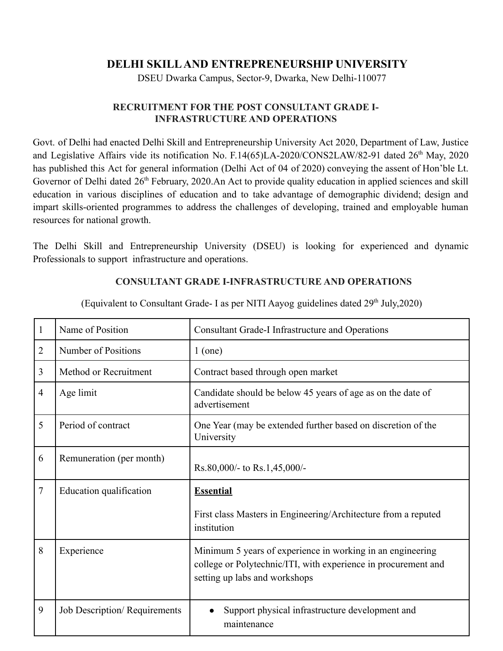## **DELHI SKILLAND ENTREPRENEURSHIP UNIVERSITY**

DSEU Dwarka Campus, Sector-9, Dwarka, New Delhi-110077

## **RECRUITMENT FOR THE POST CONSULTANT GRADE I-INFRASTRUCTURE AND OPERATIONS**

Govt. of Delhi had enacted Delhi Skill and Entrepreneurship University Act 2020, Department of Law, Justice and Legislative Affairs vide its notification No. F.14(65)LA-2020/CONS2LAW/82-91 dated 26<sup>th</sup> May, 2020 has published this Act for general information (Delhi Act of 04 of 2020) conveying the assent of Hon'ble Lt. Governor of Delhi dated 26<sup>th</sup> February, 2020.An Act to provide quality education in applied sciences and skill education in various disciplines of education and to take advantage of demographic dividend; design and impart skills-oriented programmes to address the challenges of developing, trained and employable human resources for national growth.

The Delhi Skill and Entrepreneurship University (DSEU) is looking for experienced and dynamic Professionals to support infrastructure and operations.

## **CONSULTANT GRADE I-INFRASTRUCTURE AND OPERATIONS**

| 1              | Name of Position             | <b>Consultant Grade-I Infrastructure and Operations</b>                                                                                                       |
|----------------|------------------------------|---------------------------------------------------------------------------------------------------------------------------------------------------------------|
| $\overline{2}$ | Number of Positions          | $1$ (one)                                                                                                                                                     |
| 3              | Method or Recruitment        | Contract based through open market                                                                                                                            |
| 4              | Age limit                    | Candidate should be below 45 years of age as on the date of<br>advertisement                                                                                  |
| 5              | Period of contract           | One Year (may be extended further based on discretion of the<br>University                                                                                    |
| 6              | Remuneration (per month)     | Rs.80,000/- to Rs.1,45,000/-                                                                                                                                  |
| 7              | Education qualification      | <b>Essential</b>                                                                                                                                              |
|                |                              | First class Masters in Engineering/Architecture from a reputed<br>institution                                                                                 |
| 8              | Experience                   | Minimum 5 years of experience in working in an engineering<br>college or Polytechnic/ITI, with experience in procurement and<br>setting up labs and workshops |
| 9              | Job Description/Requirements | Support physical infrastructure development and<br>maintenance                                                                                                |

(Equivalent to Consultant Grade- I as per NITI Aayog guidelines dated  $29<sup>th</sup>$  July,  $2020$ )